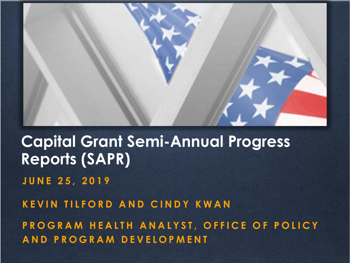

#### **Capital Grant Semi-Annual Progress Reports (SAPR)**

**JUNE 25, 2019**

**KEVIN TILFORD AND CINDY KWAN**

**PROGRAM HEALTH ANALYST, OFFICE OF POLICY AND PROGRAM DEVELOPMENT**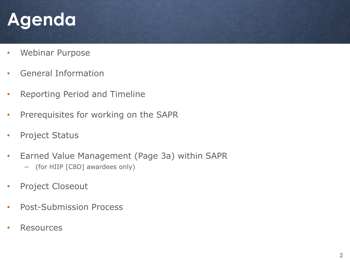## **Agenda**

- Webinar Purpose
- General Information
- Reporting Period and Timeline
- Prerequisites for working on the SAPR
- Project Status
- Earned Value Management (Page 3a) within SAPR
	- (for HIIP [C8D] awardees only)
- Project Closeout
- Post-Submission Process
- **Resources**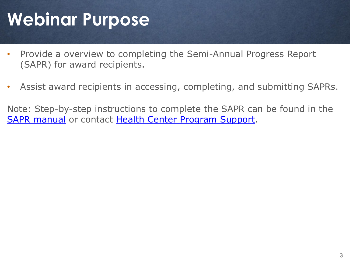## **Webinar Purpose**

- Provide a overview to completing the Semi-Annual Progress Report (SAPR) for award recipients.
- Assist award recipients in accessing, completing, and submitting SAPRs.

Note: Step-by-step instructions to complete the SAPR can be found in the **[SAPR manual](https://bphc.hrsa.gov/programopportunities/fundingopportunities/pdf/qprmanual.pdf) or contact [Health Center Program Support.](https://bphccommunications.secure.force.com/ContactBPHC/BPHC_Contact_Form)**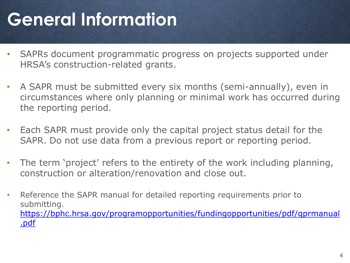# **General Information**

- SAPRs document programmatic progress on projects supported under HRSA's construction-related grants.
- A SAPR must be submitted every six months (semi-annually), even in circumstances where only planning or minimal work has occurred during the reporting period.
- Each SAPR must provide only the capital project status detail for the SAPR. Do not use data from a previous report or reporting period.
- The term 'project' refers to the entirety of the work including planning, construction or alteration/renovation and close out.
- Reference the SAPR manual for detailed reporting requirements prior to submitting. [https://bphc.hrsa.gov/programopportunities/fundingopportunities/pdf/qprmanual](https://bphc.hrsa.gov/programopportunities/fundingopportunities/pdf/qprmanual.pdf) .pdf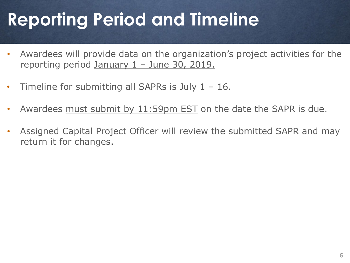# **Reporting Period and Timeline**

- Awardees will provide data on the organization's project activities for the reporting period January 1 – June 30, 2019.
- Timeline for submitting all SAPRs is  $July 1 16$ .
- Awardees must submit by 11:59pm EST on the date the SAPR is due.
- Assigned Capital Project Officer will review the submitted SAPR and may return it for changes.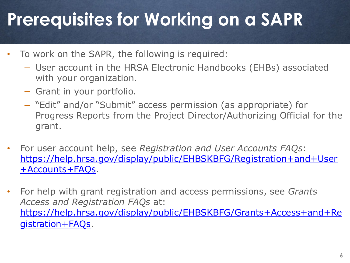# **Prerequisites for Working on a SAPR**

- To work on the SAPR, the following is required:
	- User account in the HRSA Electronic Handbooks (EHBs) associated with your organization.
	- Grant in your portfolio.
	- "Edit" and/or "Submit" access permission (as appropriate) for Progress Reports from the Project Director/Authorizing Official for the grant.
- For user account help, see *Registration and User Accounts FAQs*: [https://help.hrsa.gov/display/public/EHBSKBFG/Registration+and+User](https://help.hrsa.gov/display/public/EHBSKBFG/Registration+and+User+Accounts+FAQs) +Accounts+FAQs.
- For help with grant registration and access permissions, see *Grants Access and Registration FAQs* at: [https://help.hrsa.gov/display/public/EHBSKBFG/Grants+Access+and+Re](https://help.hrsa.gov/display/public/EHBSKBFG/Grants+Access+and+Registration+FAQs) gistration+FAQs.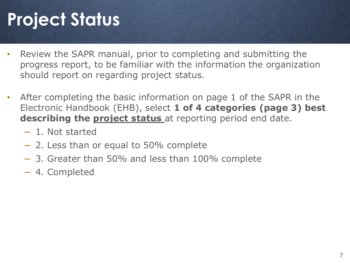# **Project Status**

- Review the SAPR manual, prior to completing and submitting the progress report, to be familiar with the information the organization should report on regarding project status.
- After completing the basic information on page 1 of the SAPR in the Electronic Handbook (EHB), select **1 of 4 categories (page 3) best describing the project status** at reporting period end date.
	- 1. Not started
	- 2. Less than or equal to 50% complete
	- 3. Greater than 50% and less than 100% complete
	- 4. Completed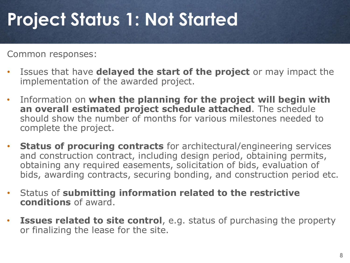# **Project Status 1: Not Started**

Common responses:

- Issues that have **delayed the start of the project** or may impact the implementation of the awarded project.
- Information on **when the planning for the project will begin with an overall estimated project schedule attached**. The schedule should show the number of months for various milestones needed to complete the project.
- **Status of procuring contracts** for architectural/engineering services and construction contract, including design period, obtaining permits, obtaining any required easements, solicitation of bids, evaluation of bids, awarding contracts, securing bonding, and construction period etc.
- Status of **submitting information related to the restrictive conditions** of award.
- **Issues related to site control**, e.g. status of purchasing the property or finalizing the lease for the site.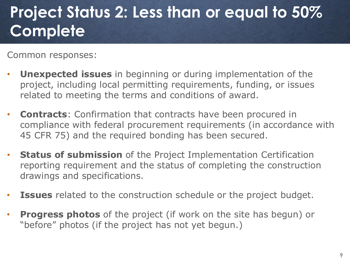### **Project Status 2: Less than or equal to 50% Complete**

Common responses:

- **Unexpected issues** in beginning or during implementation of the project, including local permitting requirements, funding, or issues related to meeting the terms and conditions of award.
- **Contracts**: Confirmation that contracts have been procured in compliance with federal procurement requirements (in accordance with 45 CFR 75) and the required bonding has been secured.
- **Status of submission** of the Project Implementation Certification reporting requirement and the status of completing the construction drawings and specifications.
- **Issues** related to the construction schedule or the project budget.
- **Progress photos** of the project (if work on the site has begun) or "before" photos (if the project has not yet begun.)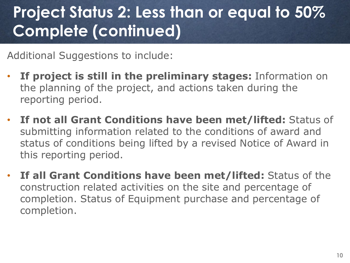### **Project Status 2: Less than or equal to 50% Complete (continued)**

Additional Suggestions to include:

- **If project is still in the preliminary stages:** Information on the planning of the project, and actions taken during the reporting period.
- **If not all Grant Conditions have been met/lifted:** Status of submitting information related to the conditions of award and status of conditions being lifted by a revised Notice of Award in this reporting period.
- **If all Grant Conditions have been met/lifted:** Status of the construction related activities on the site and percentage of completion. Status of Equipment purchase and percentage of completion.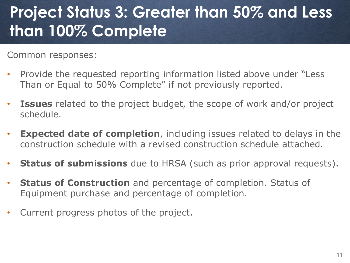### **Project Status 3: Greater than 50% and Less than 100% Complete**

Common responses:

- Provide the requested reporting information listed above under "Less Than or Equal to 50% Complete" if not previously reported.
- **Issues** related to the project budget, the scope of work and/or project schedule.
- **Expected date of completion**, including issues related to delays in the construction schedule with a revised construction schedule attached.
- **Status of submissions** due to HRSA (such as prior approval requests).
- **Status of Construction** and percentage of completion. Status of Equipment purchase and percentage of completion.
- Current progress photos of the project.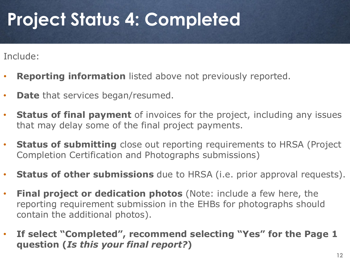# **Project Status 4: Completed**

Include:

- **Reporting information** listed above not previously reported.
- **Date** that services began/resumed.
- **Status of final payment** of invoices for the project, including any issues that may delay some of the final project payments.
- **Status of submitting** close out reporting requirements to HRSA (Project Completion Certification and Photographs submissions)
- **Status of other submissions** due to HRSA (i.e. prior approval requests).
- **Final project or dedication photos** (Note: include a few here, the reporting requirement submission in the EHBs for photographs should contain the additional photos).
- **If select "Completed", recommend selecting "Yes" for the Page 1 question (***Is this your final report?***)**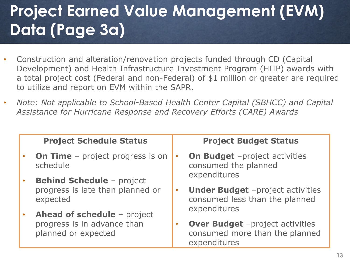### **Project Earned Value Management (EVM) Data (Page 3a)**

- Construction and alteration/renovation projects funded through CD (Capital Development) and Health Infrastructure Investment Program (HIIP) awards with a total project cost (Federal and non-Federal) of \$1 million or greater are required to utilize and report on EVM within the SAPR.
- *Note: Not applicable to School-Based Health Center Capital (SBHCC) and Capital Assistance for Hurricane Response and Recovery Efforts (CARE) Awards*

#### **Project Schedule Status**

- **On Time** project progress is on schedule
- **Behind Schedule**  project progress is late than planned or expected
- **Ahead of schedule**  project progress is in advance than planned or expected

#### **Project Budget Status**

- **On Budget** –project activities consumed the planned expenditures
- **Under Budget** –project activities consumed less than the planned expenditures
- **Over Budget** –project activities consumed more than the planned expenditures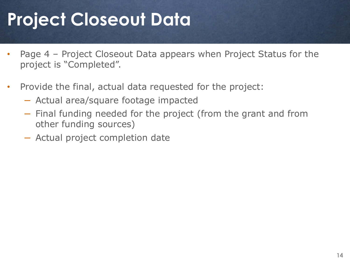## **Project Closeout Data**

- Page 4 Project Closeout Data appears when Project Status for the project is "Completed".
- Provide the final, actual data requested for the project:
	- Actual area/square footage impacted
	- Final funding needed for the project (from the grant and from other funding sources)
	- Actual project completion date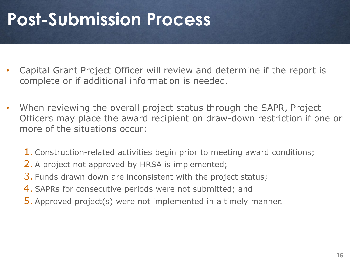## **Post-Submission Process**

- Capital Grant Project Officer will review and determine if the report is complete or if additional information is needed.
- When reviewing the overall project status through the SAPR, Project Officers may place the award recipient on draw-down restriction if one or more of the situations occur:
	- 1. Construction-related activities begin prior to meeting award conditions;
	- 2. A project not approved by HRSA is implemented;
	- 3. Funds drawn down are inconsistent with the project status;
	- 4. SAPRs for consecutive periods were not submitted; and
	- 5. Approved project(s) were not implemented in a timely manner.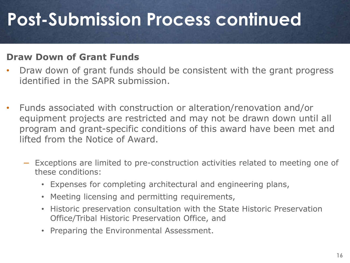## **Post-Submission Process continued**

#### **Draw Down of Grant Funds**

- Draw down of grant funds should be consistent with the grant progress identified in the SAPR submission.
- Funds associated with construction or alteration/renovation and/or equipment projects are restricted and may not be drawn down until all program and grant-specific conditions of this award have been met and lifted from the Notice of Award.
	- Exceptions are limited to pre-construction activities related to meeting one of these conditions:
		- Expenses for completing architectural and engineering plans,
		- Meeting licensing and permitting requirements,
		- Historic preservation consultation with the State Historic Preservation Office/Tribal Historic Preservation Office, and
		- Preparing the Environmental Assessment.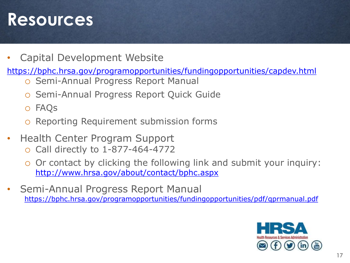### **Resources**

• Capital Development Website

<https://bphc.hrsa.gov/programopportunities/fundingopportunities/capdev.html>

- o Semi-Annual Progress Report Manual
- o Semi-Annual Progress Report Quick Guide
- o FAQs
- Reporting Requirement submission forms
- Health Center Program Support
	- Call directly to 1-877-464-4772
	- o Or contact by clicking the following link and submit your inquiry: <http://www.hrsa.gov/about/contact/bphc.aspx>
- Semi-Annual Progress Report Manual <https://bphc.hrsa.gov/programopportunities/fundingopportunities/pdf/qprmanual.pdf>